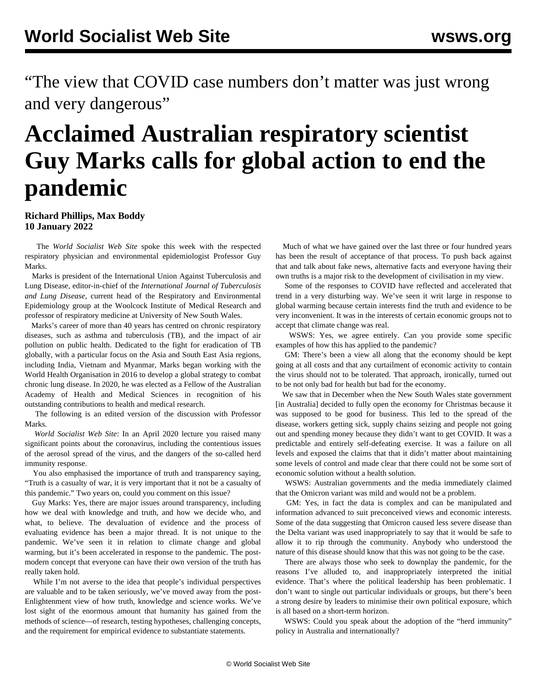"The view that COVID case numbers don't matter was just wrong and very dangerous"

## **Acclaimed Australian respiratory scientist Guy Marks calls for global action to end the pandemic**

## **Richard Phillips, Max Boddy 10 January 2022**

 The *World Socialist Web Site* spoke this week with the respected respiratory physician and environmental epidemiologist Professor Guy Marks.

 Marks is president of the International Union Against Tuberculosis and Lung Disease, editor-in-chief of the *International Journal of Tuberculosis and Lung Disease*, current head of the Respiratory and Environmental Epidemiology group at the Woolcock Institute of Medical Research and professor of respiratory medicine at University of New South Wales.

 Marks's career of more than 40 years has centred on chronic respiratory diseases, such as asthma and tuberculosis (TB), and the impact of air pollution on public health. Dedicated to the fight for eradication of TB globally, with a particular focus on the Asia and South East Asia regions, including India, Vietnam and Myanmar, Marks began working with the World Health Organisation in 2016 to develop a global strategy to combat chronic lung disease. In 2020, he was elected as a Fellow of the Australian Academy of Health and Medical Sciences in recognition of his outstanding contributions to health and medical research.

 The following is an edited version of the discussion with Professor Marks.

 *World Socialist Web Site*: In an April 2020 lecture you raised many significant points about the coronavirus, including the contentious issues of the aerosol spread of the virus, and the dangers of the so-called herd immunity response.

 You also emphasised the importance of truth and transparency saying, "Truth is a casualty of war, it is very important that it not be a casualty of this pandemic." Two years on, could you comment on this issue?

 Guy Marks: Yes, there are major issues around transparency, including how we deal with knowledge and truth, and how we decide who, and what, to believe. The devaluation of evidence and the process of evaluating evidence has been a major thread. It is not unique to the pandemic. We've seen it in relation to climate change and global warming, but it's been accelerated in response to the pandemic. The postmodern concept that everyone can have their own version of the truth has really taken hold.

 While I'm not averse to the idea that people's individual perspectives are valuable and to be taken seriously, we've moved away from the post-Enlightenment view of how truth, knowledge and science works. We've lost sight of the enormous amount that humanity has gained from the methods of science—of research, testing hypotheses, challenging concepts, and the requirement for empirical evidence to substantiate statements.

 Much of what we have gained over the last three or four hundred years has been the result of acceptance of that process. To push back against that and talk about fake news, alternative facts and everyone having their own truths is a major risk to the development of civilisation in my view.

 Some of the responses to COVID have reflected and accelerated that trend in a very disturbing way. We've seen it writ large in response to global warming because certain interests find the truth and evidence to be very inconvenient. It was in the interests of certain economic groups not to accept that climate change was real.

 WSWS: Yes, we agree entirely. Can you provide some specific examples of how this has applied to the pandemic?

 GM: There's been a view all along that the economy should be kept going at all costs and that any curtailment of economic activity to contain the virus should not to be tolerated. That approach, ironically, turned out to be not only bad for health but bad for the economy.

 We saw that in December when the New South Wales state government [in Australia] decided to fully open the economy for Christmas because it was supposed to be good for business. This led to the spread of the disease, workers getting sick, supply chains seizing and people not going out and spending money because they didn't want to get COVID. It was a predictable and entirely self-defeating exercise. It was a failure on all levels and exposed the claims that that it didn't matter about maintaining some levels of control and made clear that there could not be some sort of economic solution without a health solution.

 WSWS: Australian governments and the media immediately claimed that the Omicron variant was mild and would not be a problem.

 GM: Yes, in fact the data is complex and can be manipulated and information advanced to suit preconceived views and economic interests. Some of the data suggesting that Omicron caused less severe disease than the Delta variant was used inappropriately to say that it would be safe to allow it to rip through the community. Anybody who understood the nature of this disease should know that this was not going to be the case.

 There are always those who seek to downplay the pandemic, for the reasons I've alluded to, and inappropriately interpreted the initial evidence. That's where the political leadership has been problematic. I don't want to single out particular individuals or groups, but there's been a strong desire by leaders to minimise their own political exposure, which is all based on a short-term horizon.

 WSWS: Could you speak about the adoption of the "herd immunity" policy in Australia and internationally?